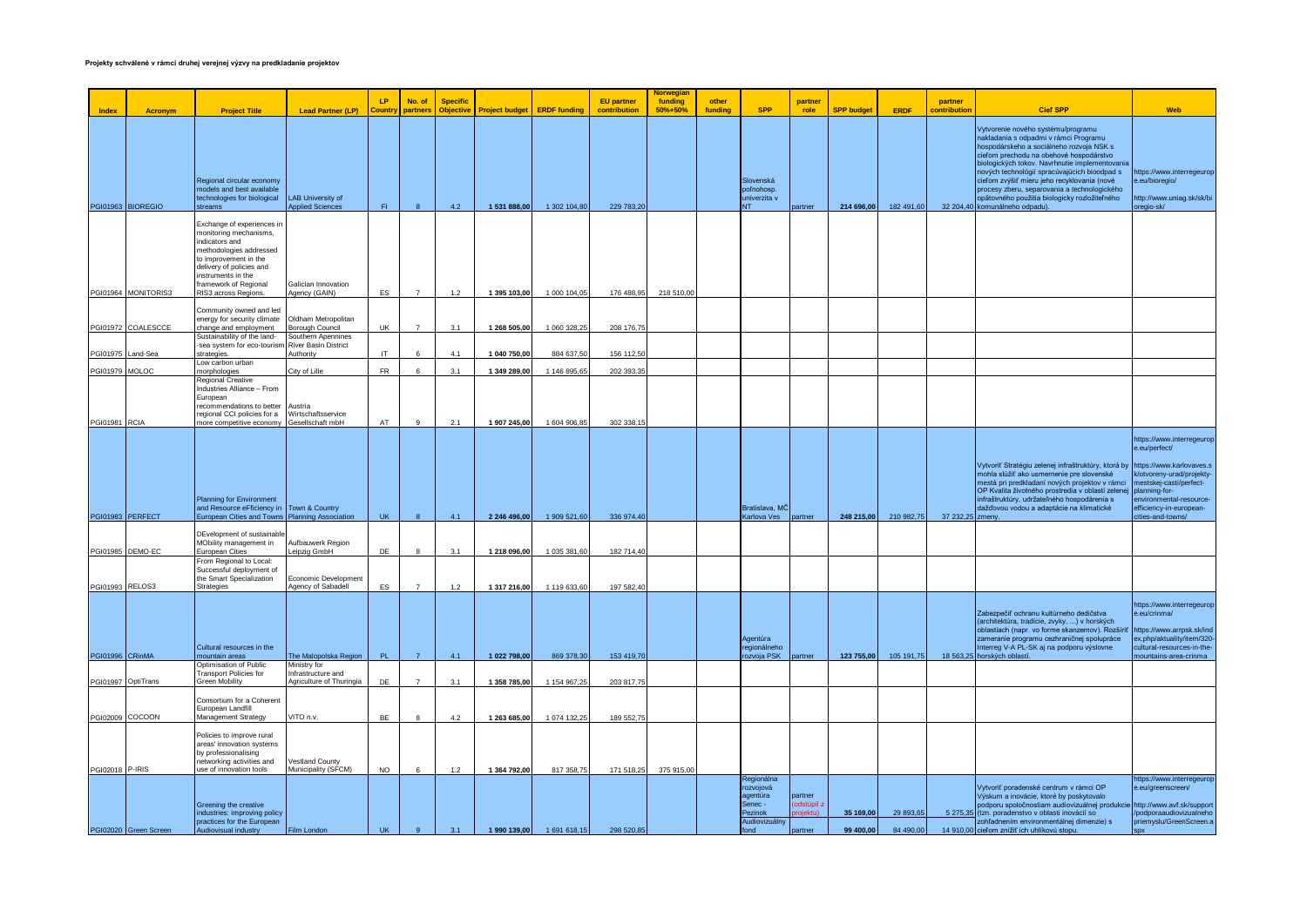|                 |                       |                                                                                                                                                                                                      |                                                              |               |                    |                                     |                       |                     |                                   | <b>Norwegiar</b>   |                  |                                                                                    |                          |                        |                        |                         |                                                                                                                                                                                                                                                                                                                                                                                                                                                        |                                                                                                                                                                               |
|-----------------|-----------------------|------------------------------------------------------------------------------------------------------------------------------------------------------------------------------------------------------|--------------------------------------------------------------|---------------|--------------------|-------------------------------------|-----------------------|---------------------|-----------------------------------|--------------------|------------------|------------------------------------------------------------------------------------|--------------------------|------------------------|------------------------|-------------------------|--------------------------------------------------------------------------------------------------------------------------------------------------------------------------------------------------------------------------------------------------------------------------------------------------------------------------------------------------------------------------------------------------------------------------------------------------------|-------------------------------------------------------------------------------------------------------------------------------------------------------------------------------|
| <b>Index</b>    | Acronvm               | <b>Project Title</b>                                                                                                                                                                                 | <b>Lead Partner (LP)</b>                                     | LP<br>Country | No. of<br>partners | <b>Specific</b><br><b>Objective</b> | <b>Project budget</b> | <b>ERDF funding</b> | <b>EU</b> partner<br>contribution | funding<br>50%+50% | other<br>funding | <b>SPP</b>                                                                         | partner<br>role          | <b>SPP budget</b>      | <b>ERDF</b>            | partner<br>contribution | <b>Cieľ SPP</b>                                                                                                                                                                                                                                                                                                                                                                                                                                        | <b>Web</b>                                                                                                                                                                    |
|                 | PGI01963 BIOREGIO     | Regional circular economy<br>models and best available<br>technologies for biological<br>streams                                                                                                     | <b>LAB University of</b><br><b>Applied Sciences</b>          | F1            |                    | 4.2                                 | 1 531 888,00          | 1 302 104,80        | 229 783,20                        |                    |                  | Slovenská<br>poľnohosp.<br>univerzita v                                            | artner                   | 214 696,00             | 182 491,60             |                         | /ytvorenie nového systému/programu<br>nakladania s odpadmi v rámci Programu<br>hospodárskeho a sociálneho rozvoja NSK s<br>cieľom prechodu na obehové hospodárstvo<br>biologických tokov. Navrhnutie implementovania<br>nových technológií spracúvajúcich bioodpad s<br>cieľom zvýšiť mieru jeho recyklovania (nové<br>procesy zberu, separovania a technologického<br>opätovného použitia biologicky rozložiteľného<br>32 204,40 komunálneho odpadu). | https://www.interregeurop<br>e.eu/bioregio/<br>http://www.uniag.sk/sk/bi<br>regio-sk/                                                                                         |
|                 |                       | Exchange of experiences in<br>monitoring mechanisms,<br>indicators and<br>methodologies addressed<br>to improvement in the<br>delivery of policies and<br>instruments in the<br>ramework of Regional | Galician Innovation                                          |               |                    |                                     |                       |                     |                                   |                    |                  |                                                                                    |                          |                        |                        |                         |                                                                                                                                                                                                                                                                                                                                                                                                                                                        |                                                                                                                                                                               |
|                 | PGI01964 MONITORIS3   | RIS3 across Regions.                                                                                                                                                                                 | Agency (GAIN)                                                | ES            | $\overline{7}$     | $1.2$                               | 1 395 103,00          | 1 000 104,05        | 176 488,95                        | 218 510,00         |                  |                                                                                    |                          |                        |                        |                         |                                                                                                                                                                                                                                                                                                                                                                                                                                                        |                                                                                                                                                                               |
|                 | PGI01972 COALESCCE    | Community owned and led<br>energy for security climate<br>change and employment<br>Sustainability of the land-                                                                                       | Oldham Metropolitan<br>Borough Council<br>Southern Apennines | <b>UK</b>     |                    | 3.1                                 | 1 268 505,00          | 1 060 328,25        | 208 176,75                        |                    |                  |                                                                                    |                          |                        |                        |                         |                                                                                                                                                                                                                                                                                                                                                                                                                                                        |                                                                                                                                                                               |
| PGI01975        | Land-Sea              | sea system for eco-tourism<br>strategies                                                                                                                                                             | River Basin District<br><b>Authority</b>                     | IT.           |                    | 4.1                                 | 1 040 750,00          | 884 637,50          | 156 112,5                         |                    |                  |                                                                                    |                          |                        |                        |                         |                                                                                                                                                                                                                                                                                                                                                                                                                                                        |                                                                                                                                                                               |
| PGI01979 MOLOC  |                       | Low carbon urban                                                                                                                                                                                     | City of Lille                                                | <b>FR</b>     |                    | 3.1                                 | 1 349 289,00          | 1 146 895,6         | 202 393,3                         |                    |                  |                                                                                    |                          |                        |                        |                         |                                                                                                                                                                                                                                                                                                                                                                                                                                                        |                                                                                                                                                                               |
| PGI01981 RCIA   |                       | norphologies<br><b>Regional Creative</b><br>Industries Alliance - From<br>European<br>recommendations to better<br>regional CCI policies for a<br>nore competitive economy                           | Austria<br>Wirtschaftsservice<br>Gesellschaft mbH            | AT            | $\alpha$           | 2.1                                 | 1 907 245,00          | 1 604 906,85        | 302 338,15                        |                    |                  |                                                                                    |                          |                        |                        |                         |                                                                                                                                                                                                                                                                                                                                                                                                                                                        |                                                                                                                                                                               |
|                 | PGI01983 PERFECT      | <b>Planning for Environment</b><br>and Resource eFficiency in Town & Country<br>European Cities and Towns Planning Association                                                                       |                                                              | <b>UK</b>     |                    | 4.1                                 | 2 246 496,00          | 1 909 521,60        | 336 974,40                        |                    |                  | Bratislava, MČ<br>Karlova Ves                                                      | partner                  | 248 215,00             | 210 982,75             | 37 232,25 zmeny.        | Vytvoriť Stratégiu zelenej infraštruktúry, ktorá by https://www.karlovaves.s<br>mohla slúžiť ako usmernenie pre slovenské<br>mestá pri predkladaní nových projektov v rámci<br>OP Kvalita životného prostredia v oblasti zelenej planning-for-<br>nfraštruktúry, udržateľného hospodárenia s<br>dažďovou vodou a adaptácie na klimatické                                                                                                               | https://www.interregeurop<br>e.eu/perfect/<br>k/otvoreny-urad/projekty-<br>mestskej-casti/perfect-<br>environmental-resource-<br>efficiency-in-european-<br>cities-and-towns/ |
|                 | PGI01985 DEMO-EC      | DEvelopment of sustainable<br>MObility management in<br>European Cities                                                                                                                              | Aufbauwerk Region<br>Leipzig GmbH                            | DE            |                    | 3.1                                 | 1 218 096,00          | 1 035 381,60        | 182 714,40                        |                    |                  |                                                                                    |                          |                        |                        |                         |                                                                                                                                                                                                                                                                                                                                                                                                                                                        |                                                                                                                                                                               |
| PGI01993 RELOS3 |                       | From Regional to Local:<br>Successful deployment of<br>the Smart Specialization<br>Strategies                                                                                                        | Economic Development<br>Agency of Sabadell                   | ES            |                    | 1.2                                 | 1 317 216,00          | 1 119 633,60        | 197 582,40                        |                    |                  |                                                                                    |                          |                        |                        |                         |                                                                                                                                                                                                                                                                                                                                                                                                                                                        |                                                                                                                                                                               |
| PGI01996 CRinMA |                       | Cultural resources in the<br>nountain areas                                                                                                                                                          | The Malopolska Region                                        | PL            | $\overline{7}$     | 4.1                                 | 1 022 798,00          | 869 378,30          | 153 419,70                        |                    |                  | Agentúra<br>regionálneho<br>ozvoja PSK                                             |                          | 123 755,00             | 105 191,75             |                         | Zabezpečiť ochranu kultúrneho dedičstva<br>(architektúra, tradície, zvyky, ) v horských<br>oblastiach (napr. vo forme skanzemov). Rozšíriť<br>zameranie programu cezhraničnej spolupráce<br>nterreg V-A PL-SK aj na podporu výslovne<br>18 563,25 horských oblastí.                                                                                                                                                                                    | https://www.interregeurop<br>e.eu/crinma/<br>https://www.arrpsk.sk/ind<br>ex.php/aktuality/item/320-<br>cultural-resources-in-the-                                            |
|                 |                       | Optimisation of Public<br>Fransport Policies for                                                                                                                                                     | Ministry for<br>Infrastructure and                           |               |                    |                                     |                       |                     |                                   |                    |                  |                                                                                    | artner                   |                        |                        |                         |                                                                                                                                                                                                                                                                                                                                                                                                                                                        | nountains-area-crinma                                                                                                                                                         |
|                 | PGI01997 OptiTrans    | <b>Green Mobility</b>                                                                                                                                                                                | Agriculture of Thuringia                                     | DE            |                    | 3.1                                 | 1 358 785,00          | 1 154 967,25        | 203 817,75                        |                    |                  |                                                                                    |                          |                        |                        |                         |                                                                                                                                                                                                                                                                                                                                                                                                                                                        |                                                                                                                                                                               |
| PGI02009 COCOON |                       | Consortium for a Coherent<br>European Landfill<br>Management Strategy                                                                                                                                | VITO n.v.                                                    | BE            |                    | 4.2                                 | 1 263 685,00          | 1 074 132,25        | 189 552,75                        |                    |                  |                                                                                    |                          |                        |                        |                         |                                                                                                                                                                                                                                                                                                                                                                                                                                                        |                                                                                                                                                                               |
| PGI02018 P-IRIS |                       | Policies to improve rural<br>areas' innovation systems<br>by professionalising<br>etworking activities and<br>ise of innovation tools                                                                | Vestland County<br>Municipality (SFCM)                       | <b>NO</b>     | 6                  | $1.2$                               | 1 364 792,00          | 817 358.75          | 171 518,25                        | 375 915,00         |                  |                                                                                    |                          |                        |                        |                         |                                                                                                                                                                                                                                                                                                                                                                                                                                                        |                                                                                                                                                                               |
|                 | PGI02020 Green Screen | Greening the creative<br>industries: improving policy<br>practices for the European<br>Audiovisual industry                                                                                          | Film London                                                  | UK .          | 9 <sup>1</sup>     | 3.1                                 | 1 990 139,00          | 1 691 618,15        | 298 520,85                        |                    |                  | Regionálna<br>rozvojová<br>agentúra<br>ienec -<br>Pezinok<br>Audiovizuálny<br>fond | partner<br><b>artner</b> | 35 169,00<br>99 400.00 | 29 893,65<br>84 490.00 |                         | Vytvoriť poradenské centrum v rámci OP<br>Výskum a inovácie, ktoré by poskytovalo<br>odporu spoločnostiam audiovizuálnej produkcie http://www.avf.sk/support<br>5 275,35 (tzn. poradenstvo v oblasti inovácií so<br>zohľadnením environmentálnej dimenzie) s<br>14 910,00 cieľom znížiť ich uhlíkovú stopu.                                                                                                                                            | https://www.interregeurop<br>e.eu/greenscreen/<br>/podporaaudiovizualneho<br>priemyslu/GreenScreen.a                                                                          |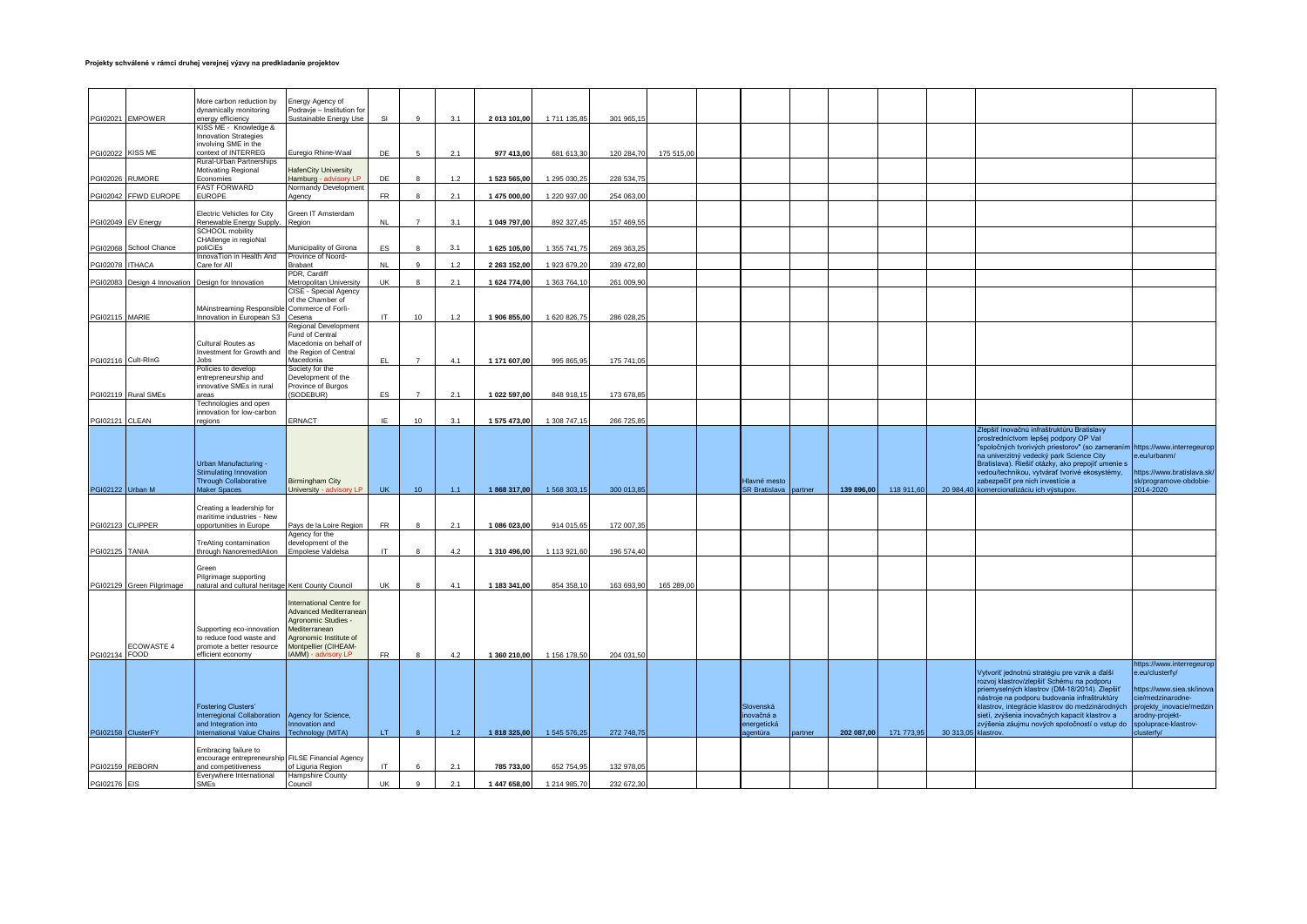|                         |                              | More carbon reduction by                             | Energy Agency of                                   |           |                 |     |              |              |            |            |                                      |        |            |            |          |                                                                                                 |                                              |
|-------------------------|------------------------------|------------------------------------------------------|----------------------------------------------------|-----------|-----------------|-----|--------------|--------------|------------|------------|--------------------------------------|--------|------------|------------|----------|-------------------------------------------------------------------------------------------------|----------------------------------------------|
|                         |                              | dynamically monitoring                               | Podravje - Institution for                         |           |                 |     |              |              |            |            |                                      |        |            |            |          |                                                                                                 |                                              |
|                         | PGI02021 EMPOWER             | energy efficiency                                    | Sustainable Energy Use                             | SI        | $\circ$         | 3.1 | 2 013 101,00 | 1 711 135,85 | 301 965,15 |            |                                      |        |            |            |          |                                                                                                 |                                              |
|                         |                              | KISS ME - Knowledge &                                |                                                    |           |                 |     |              |              |            |            |                                      |        |            |            |          |                                                                                                 |                                              |
|                         |                              | <b>Innovation Strategies</b><br>involving SME in the |                                                    |           |                 |     |              |              |            |            |                                      |        |            |            |          |                                                                                                 |                                              |
| <b>PGI02022 KISS ME</b> |                              | context of INTERREG                                  | uregio Rhine-Waal                                  | DE        |                 | 2.1 | 977 413.00   | 681 613.30   | 120 284,70 | 175 515.0  |                                      |        |            |            |          |                                                                                                 |                                              |
|                         |                              | Rural-Urban Partnerships                             |                                                    |           |                 |     |              |              |            |            |                                      |        |            |            |          |                                                                                                 |                                              |
|                         |                              | Motivating Regional                                  | lafenCity University                               |           |                 |     |              |              |            |            |                                      |        |            |            |          |                                                                                                 |                                              |
| PGI02026 RUMORE         |                              | Economies                                            | lamburg - advisory LP                              | DF        |                 | 1.2 | 1 523 565,00 | 1 295 030,25 | 228 534.75 |            |                                      |        |            |            |          |                                                                                                 |                                              |
|                         | PGI02042 FFWD EUROPE         | <b>FAST FORWARD</b><br><b>EUROPE</b>                 | <b>Normandy Development</b>                        | <b>FR</b> | $\mathbf{R}$    | 2.1 | 1 475 000,00 | 1 220 937,00 | 254 063,0  |            |                                      |        |            |            |          |                                                                                                 |                                              |
|                         |                              |                                                      | gency                                              |           |                 |     |              |              |            |            |                                      |        |            |            |          |                                                                                                 |                                              |
|                         |                              | <b>Electric Vehicles for City</b>                    | Green IT Amsterdam                                 |           |                 |     |              |              |            |            |                                      |        |            |            |          |                                                                                                 |                                              |
|                         | PGI02049 EV Energy           | Renewable Energy Supply.                             | Region                                             | NL        | $\overline{z}$  | 3.1 | 1 049 797,00 | 892 327,45   | 157 469,55 |            |                                      |        |            |            |          |                                                                                                 |                                              |
|                         |                              | <b>SCHOOL</b> mobility                               |                                                    |           |                 |     |              |              |            |            |                                      |        |            |            |          |                                                                                                 |                                              |
|                         |                              | CHAllenge in regioNal                                |                                                    |           |                 |     |              |              |            |            |                                      |        |            |            |          |                                                                                                 |                                              |
|                         | PGI02068 School Chance       | oliCiEs<br>nnovaTion in Health And                   | Municipality of Girona<br>Province of Noord-       | ES        |                 | 3.1 | 1 625 105,00 | 1 355 741,75 | 269 363,25 |            |                                      |        |            |            |          |                                                                                                 |                                              |
| PGI02078 ITHACA         |                              | Care for All                                         | <b>Brabant</b>                                     | NI        |                 | 1.2 | 2 263 152,00 | 1 923 679,20 | 339 472.8  |            |                                      |        |            |            |          |                                                                                                 |                                              |
|                         |                              |                                                      | PDR, Cardiff                                       |           |                 |     |              |              |            |            |                                      |        |            |            |          |                                                                                                 |                                              |
|                         | PGI02083 Design 4 Innovation | Design for Innovation                                | Metropolitan University                            | UK        |                 | 2.1 | 1 624 774,00 | 1 363 764,1  | 261 009,90 |            |                                      |        |            |            |          |                                                                                                 |                                              |
|                         |                              |                                                      | CISE - Special Agency                              |           |                 |     |              |              |            |            |                                      |        |            |            |          |                                                                                                 |                                              |
|                         |                              | MAinstreaming Responsible                            | of the Chamber of<br>Commerce of Forli-            |           |                 |     |              |              |            |            |                                      |        |            |            |          |                                                                                                 |                                              |
| PGI02115 MARIE          |                              | Innovation in European S3                            | Cesena                                             | <b>IT</b> | 10              | 1.2 | 1 906 855.00 | 1 620 826,7  | 286 028,2  |            |                                      |        |            |            |          |                                                                                                 |                                              |
|                         |                              |                                                      | Regional Development                               |           |                 |     |              |              |            |            |                                      |        |            |            |          |                                                                                                 |                                              |
|                         |                              |                                                      | Fund of Central                                    |           |                 |     |              |              |            |            |                                      |        |            |            |          |                                                                                                 |                                              |
|                         |                              | Cultural Routes as                                   | Macedonia on behalf of                             |           |                 |     |              |              |            |            |                                      |        |            |            |          |                                                                                                 |                                              |
|                         | PGI02116 Cult-RInG           | Investment for Growth and<br>lohs.                   | the Region of Central<br>Macedonia                 | EL.       | $\overline{7}$  | 4.1 | 1 171 607.00 | 995 865.95   | 175 741.05 |            |                                      |        |            |            |          |                                                                                                 |                                              |
|                         |                              | Policies to develop                                  | Society for the                                    |           |                 |     |              |              |            |            |                                      |        |            |            |          |                                                                                                 |                                              |
|                         |                              | entrepreneurship and                                 | bevelopment of the                                 |           |                 |     |              |              |            |            |                                      |        |            |            |          |                                                                                                 |                                              |
|                         |                              | innovative SMEs in rural                             | Province of Burgos                                 |           |                 |     |              |              |            |            |                                      |        |            |            |          |                                                                                                 |                                              |
|                         | PGI02119 Rural SMEs          | areas                                                | SODEBUR)                                           | ES        | $\overline{7}$  | 2.1 | 1 022 597,00 | 848 918,15   | 173 678,85 |            |                                      |        |            |            |          |                                                                                                 |                                              |
|                         |                              | Technologies and open                                |                                                    |           |                 |     |              |              |            |            |                                      |        |            |            |          |                                                                                                 |                                              |
| PGI02121 CLEAN          |                              | innovation for low-carbon<br>egions                  | ERNACT                                             | IE.       | 10              | 3.1 | 1 575 473.00 | 1 308 747.15 | 266 725.85 |            |                                      |        |            |            |          |                                                                                                 |                                              |
|                         |                              |                                                      |                                                    |           |                 |     |              |              |            |            |                                      |        |            |            |          | Zlepšiť inovačnú infraštruktúru Bratislavy                                                      |                                              |
|                         |                              |                                                      |                                                    |           |                 |     |              |              |            |            |                                      |        |            |            |          | prostredníctvom lepšej podpory OP Val                                                           |                                              |
|                         |                              |                                                      |                                                    |           |                 |     |              |              |            |            |                                      |        |            |            |          | "spoločných tvorivých priestorov" (so zameraním                                                 | https://www.interregeurop                    |
|                         |                              |                                                      |                                                    |           |                 |     |              |              |            |            |                                      |        |            |            |          |                                                                                                 |                                              |
|                         |                              |                                                      |                                                    |           |                 |     |              |              |            |            |                                      |        |            |            |          | na univerzitný vedecký park Science City                                                        | e.eu/urbanm/                                 |
|                         |                              | Urban Manufacturing -                                |                                                    |           |                 |     |              |              |            |            |                                      |        |            |            |          | Bratislava). Riešiť otázky, ako prepojiť umenie s                                               |                                              |
|                         |                              | <b>Stimulating Innovation</b>                        |                                                    |           |                 |     |              |              |            |            |                                      |        |            |            |          | vedou/technikou, vytvárať tvorivé ekosystémy,                                                   | ttps://www.bratislava.sk/                    |
|                         |                              | Through Collaborative<br>Maker Spaces                | <b>Birmingham City</b><br>Jniversity - advisory LP | <b>UK</b> | 10 <sup>°</sup> | 1.1 | 1868 317,00  | 1 568 303,15 | 300 013,85 |            | Hlavné mesto<br>R Bratislava partner |        | 139 896,00 | 118 911,60 |          | zabezpečiť pre nich investície a                                                                | sk/programove-obdobie-<br>014-2020           |
| PGI02122 Urban M        |                              |                                                      |                                                    |           |                 |     |              |              |            |            |                                      |        |            |            |          | 20 984,40 komercionalizáciu ich výstupov.                                                       |                                              |
|                         |                              | Creating a leadership for                            |                                                    |           |                 |     |              |              |            |            |                                      |        |            |            |          |                                                                                                 |                                              |
|                         |                              | maritime industries - New                            |                                                    |           |                 |     |              |              |            |            |                                      |        |            |            |          |                                                                                                 |                                              |
| PGI02123 CLIPPER        |                              | opportunities in Europe                              | Pays de la Loire Region                            | <b>FR</b> |                 | 2.1 | 1 086 023.00 | 914 015.65   | 172 007,3  |            |                                      |        |            |            |          |                                                                                                 |                                              |
|                         |                              |                                                      | Agency for the                                     |           |                 |     |              |              |            |            |                                      |        |            |            |          |                                                                                                 |                                              |
|                         |                              | TreAting contamination<br>through NanoremedIAtion    | development of the<br>mpolese Valdelsa             | IT.       | $\mathbf{R}$    | 4.2 | 1 310 496,00 | 1 113 921,60 | 196 574,40 |            |                                      |        |            |            |          |                                                                                                 |                                              |
| <b>PGI02125 TANIA</b>   |                              |                                                      |                                                    |           |                 |     |              |              |            |            |                                      |        |            |            |          |                                                                                                 |                                              |
|                         |                              | Green                                                |                                                    |           |                 |     |              |              |            |            |                                      |        |            |            |          |                                                                                                 |                                              |
|                         |                              | Pilgrimage supporting                                |                                                    |           |                 |     |              |              |            |            |                                      |        |            |            |          |                                                                                                 |                                              |
|                         | PGI02129 Green Pilgrimage    | atural and cultural heritage Kent County Council     |                                                    | UK        |                 | 4.1 | 1 183 341,00 | 854 358.10   | 163 693,90 | 165 289,00 |                                      |        |            |            |          |                                                                                                 |                                              |
|                         |                              |                                                      | nternational Centre for                            |           |                 |     |              |              |            |            |                                      |        |            |            |          |                                                                                                 |                                              |
|                         |                              |                                                      | Advanced Mediterranear                             |           |                 |     |              |              |            |            |                                      |        |            |            |          |                                                                                                 |                                              |
|                         |                              |                                                      | Agronomic Studies -                                |           |                 |     |              |              |            |            |                                      |        |            |            |          |                                                                                                 |                                              |
|                         |                              | Supporting eco-innovation                            | <i><b>Mediterranean</b></i>                        |           |                 |     |              |              |            |            |                                      |        |            |            |          |                                                                                                 |                                              |
|                         |                              | to reduce food waste and                             | Agronomic Institute of                             |           |                 |     |              |              |            |            |                                      |        |            |            |          |                                                                                                 |                                              |
| PGI02134 FOOD           | ECOWASTE 4                   | promote a better resource<br>efficient economy       | Montpellier (CIHEAM-<br>AMM) - advisory LP         | <b>FR</b> | $\mathbf{R}$    | 4.2 | 1 360 210,00 | 1 156 178,50 | 204 031,50 |            |                                      |        |            |            |          |                                                                                                 |                                              |
|                         |                              |                                                      |                                                    |           |                 |     |              |              |            |            |                                      |        |            |            |          |                                                                                                 | https://www.interregeurop                    |
|                         |                              |                                                      |                                                    |           |                 |     |              |              |            |            |                                      |        |            |            |          | Vytvoriť jednotnú stratégiu pre vznik a ďalší                                                   | e.eu/clusterfy/                              |
|                         |                              |                                                      |                                                    |           |                 |     |              |              |            |            |                                      |        |            |            |          | rozvoj klastrov/zlepšiť Schému na podporu                                                       |                                              |
|                         |                              |                                                      |                                                    |           |                 |     |              |              |            |            |                                      |        |            |            |          | priemyselných klastrov (DM-18/2014). Zlepšiť                                                    | ttps://www.siea.sk/inova<br>ie/medzinarodne- |
|                         |                              | <b>Fostering Clusters'</b>                           |                                                    |           |                 |     |              |              |            |            | Slovenská                            |        |            |            |          | nástroje na podporu budovania infraštruktúry<br>klastrov, integrácie klastrov do medzinárodných | rojekty_inovacie/medzin                      |
|                         |                              | Interregional Collaboration                          | Agency for Science,                                |           |                 |     |              |              |            |            | novačná a                            |        |            |            |          | sietí, zvýšenia inovačných kapacít klastrov a                                                   | rodny-projekt-                               |
|                         |                              | and Integration into                                 | nnovation and                                      |           |                 |     |              |              |            |            | energetická                          |        |            |            |          | zvýšenia záujmu nových spoločností o vstup do                                                   | poluprace-klastrov-                          |
|                         | PGI02158 ClusterFY           | <b>nternational Value Chains</b>                     | Technology (MITA)                                  | LT.       | $\mathbf{R}$    | 1.2 | 1818 325.00  | 1 545 576,25 | 272 748,75 |            | <b>rentúra</b>                       | artner | 202 087,00 | 171 773,95 | 30 313.0 | klastrov.                                                                                       | usterfy/                                     |
|                         |                              | Embracing failure to                                 |                                                    |           |                 |     |              |              |            |            |                                      |        |            |            |          |                                                                                                 |                                              |
|                         |                              | encourage entrepreneurship                           | <b>FILSE Financial Agency</b>                      |           |                 |     |              |              |            |            |                                      |        |            |            |          |                                                                                                 |                                              |
| PGI02159 REBORN         |                              | and competitiveness                                  | of Liguria Region                                  | IT        |                 | 2.1 | 785 733,00   | 652 754.9    | 132 978.0  |            |                                      |        |            |            |          |                                                                                                 |                                              |
| <b>PGI02176</b> EIS     |                              | Everywhere International<br><b>SMFs</b>              | Hampshire County<br>Council                        | UK        | $\circ$         | 2.1 | 1 447 658.00 | 1 214 985.70 | 232 672.30 |            |                                      |        |            |            |          |                                                                                                 |                                              |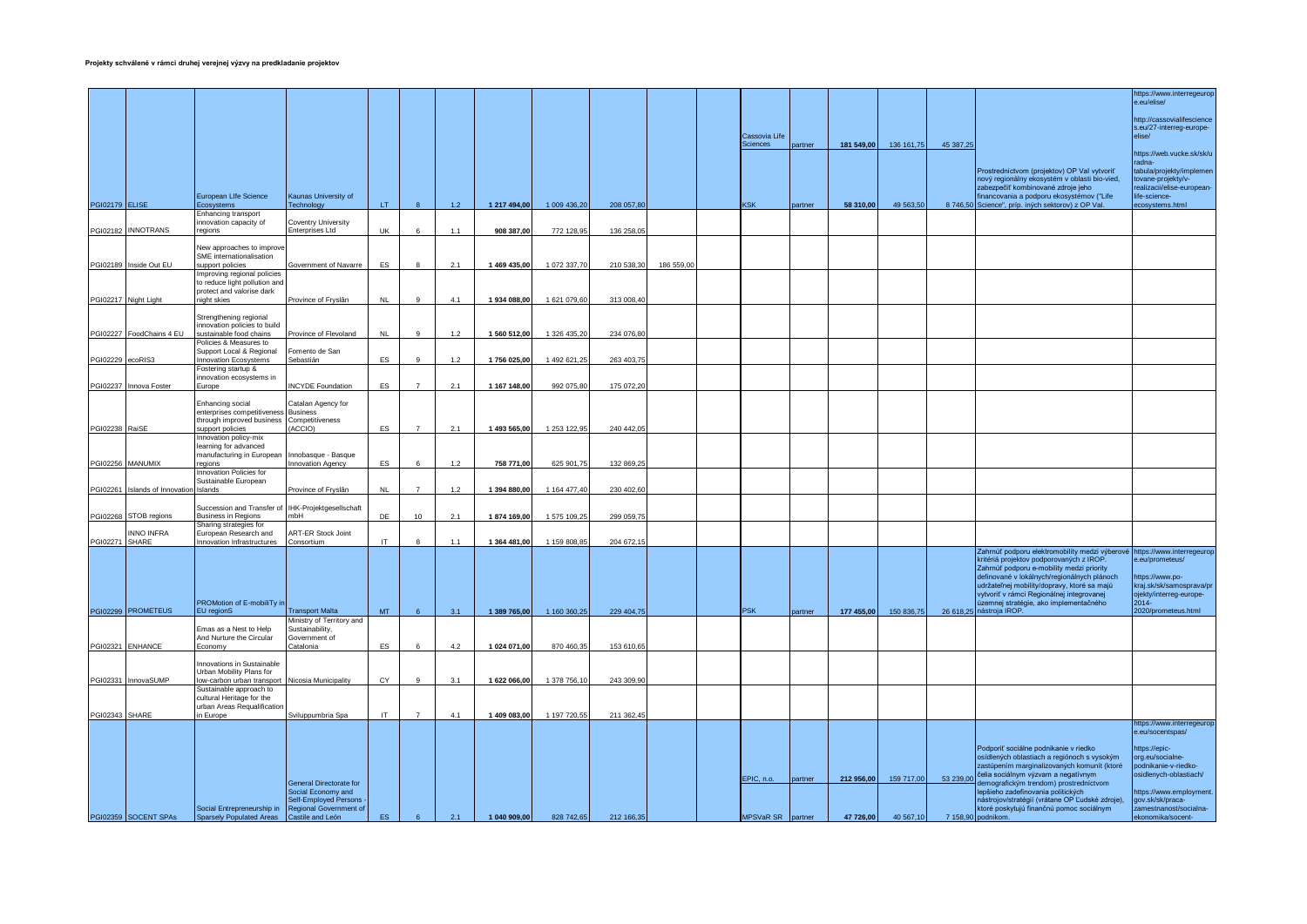|                       |                                        |                                                               |                                                      |           |                |       |              |              |            |           |                   |         |            |            |           |                                                                                                | https://www.interregeurop                              |
|-----------------------|----------------------------------------|---------------------------------------------------------------|------------------------------------------------------|-----------|----------------|-------|--------------|--------------|------------|-----------|-------------------|---------|------------|------------|-----------|------------------------------------------------------------------------------------------------|--------------------------------------------------------|
|                       |                                        |                                                               |                                                      |           |                |       |              |              |            |           |                   |         |            |            |           |                                                                                                | e.eu/elise/                                            |
|                       |                                        |                                                               |                                                      |           |                |       |              |              |            |           |                   |         |            |            |           |                                                                                                |                                                        |
|                       |                                        |                                                               |                                                      |           |                |       |              |              |            |           |                   |         |            |            |           |                                                                                                | http://cassovialifescience<br>s.eu/27-interreg-europe- |
|                       |                                        |                                                               |                                                      |           |                |       |              |              |            |           | Cassovia Life     |         |            |            |           |                                                                                                | elise/                                                 |
|                       |                                        |                                                               |                                                      |           |                |       |              |              |            |           | Sciences          | partner | 181 549,00 | 136 161,75 | 45 387,25 |                                                                                                | https://web.vucke.sk/sk/u                              |
|                       |                                        |                                                               |                                                      |           |                |       |              |              |            |           |                   |         |            |            |           |                                                                                                | radna-                                                 |
|                       |                                        |                                                               |                                                      |           |                |       |              |              |            |           |                   |         |            |            |           | Prostredníctvom (projektov) OP Val vytvoriť<br>nový regionálny ekosystém v oblasti bio-vied,   | abula/projekty/implemen<br>tovane-projekty/v-          |
|                       |                                        |                                                               |                                                      |           |                |       |              |              |            |           |                   |         |            |            |           | zabezpečiť kombinované zdroje jeho                                                             | ealizacii/elise-european-                              |
| <b>PGI02179 ELISE</b> |                                        | European Life Science<br><b>Ecosystems</b>                    | Kaunas University of<br>Technology                   | LT.       |                | 12    | 1 217 494,00 | 1 009 436,20 | 208 057,8  |           | KSK               | partner | 58 310,00  | 49 563,50  |           | inancovania a podporu ekosystémov ("Life<br>8 746,50 Science", príp. iných sektorov) z OP Val. | fe-science-<br>cosystems.html                          |
|                       |                                        | Enhancing transport                                           |                                                      |           |                |       |              |              |            |           |                   |         |            |            |           |                                                                                                |                                                        |
|                       | PGI02182 INNOTRANS                     | innovation capacity of<br>regions                             | Coventry University<br><b>Enterprises Ltd</b>        | <b>UK</b> |                | 1.1   | 908 387,00   | 772 128,9    | 136 258,0  |           |                   |         |            |            |           |                                                                                                |                                                        |
|                       |                                        |                                                               |                                                      |           |                |       |              |              |            |           |                   |         |            |            |           |                                                                                                |                                                        |
|                       |                                        | New approaches to improve<br>SME internationalisation         |                                                      |           |                |       |              |              |            |           |                   |         |            |            |           |                                                                                                |                                                        |
|                       | PGI02189 Inside Out EU                 | support policies                                              | Government of Navarre                                | ES        |                | 2.1   | 1 469 435,00 | 1 072 337,7  | 210 538,30 | 186 559,0 |                   |         |            |            |           |                                                                                                |                                                        |
|                       |                                        | Improving regional policies<br>to reduce light pollution and  |                                                      |           |                |       |              |              |            |           |                   |         |            |            |           |                                                                                                |                                                        |
|                       |                                        | protect and valorise dark                                     |                                                      |           |                |       |              |              |            |           |                   |         |            |            |           |                                                                                                |                                                        |
|                       | PGI02217 Night Light                   | night skies                                                   | Province of Fryslân                                  | <b>NL</b> |                | 4.1   | 1 934 088,00 | 1 621 079,60 | 313 008,40 |           |                   |         |            |            |           |                                                                                                |                                                        |
|                       |                                        | Strengthening regional                                        |                                                      |           |                |       |              |              |            |           |                   |         |            |            |           |                                                                                                |                                                        |
|                       |                                        | innovation policies to build                                  |                                                      |           |                |       |              |              |            |           |                   |         |            |            |           |                                                                                                |                                                        |
|                       | PGI02227 FoodChains 4 EU               | sustainable food chains<br>Policies & Measures to             | Province of Flevoland                                | <b>NL</b> |                | $1.2$ | 1 560 512,00 | 1 326 435,2  | 234 076,8  |           |                   |         |            |            |           |                                                                                                |                                                        |
|                       |                                        | Support Local & Regional                                      | Fomento de San                                       |           |                |       |              |              |            |           |                   |         |            |            |           |                                                                                                |                                                        |
| PGI02229 ecoRIS3      |                                        | <b>Innovation Ecosystems</b><br>Fostering startup &           | Sebastián                                            | ES        |                | 1.2   | 1756 025,00  | 1 492 621,2  | 263 403,75 |           |                   |         |            |            |           |                                                                                                |                                                        |
|                       |                                        | innovation ecosystems in                                      |                                                      |           |                |       |              |              |            |           |                   |         |            |            |           |                                                                                                |                                                        |
|                       | PGI02237 Innova Foster                 | Europe                                                        | <b>INCYDE Foundation</b>                             | ES        | $\overline{7}$ | 2.1   | 1 167 148,00 | 992 075,8    | 175 072,20 |           |                   |         |            |            |           |                                                                                                |                                                        |
|                       |                                        | <b>Enhancing</b> social                                       | Catalan Agency for                                   |           |                |       |              |              |            |           |                   |         |            |            |           |                                                                                                |                                                        |
|                       |                                        | enterprises competitiveness<br>through improved business      | <b>Business</b><br>Competitiveness                   |           |                |       |              |              |            |           |                   |         |            |            |           |                                                                                                |                                                        |
| PGI02238 RaiSE        |                                        | support policies                                              | ACCIO)                                               | <b>FS</b> |                | 21    | 1 493 565,00 | 1 253 122,95 | 240 442,05 |           |                   |         |            |            |           |                                                                                                |                                                        |
|                       |                                        | Innovation policy-mix<br>learning for advanced                |                                                      |           |                |       |              |              |            |           |                   |         |            |            |           |                                                                                                |                                                        |
|                       |                                        | manufacturing in European                                     | Innobasque - Basque                                  |           |                |       |              |              |            |           |                   |         |            |            |           |                                                                                                |                                                        |
|                       | PGI02256 MANUMIX                       | reaions<br>Innovation Policies for                            | Innovation Agency                                    | ES        |                | 1.2   | 758 771,00   | 625 901,7    | 132 869,2  |           |                   |         |            |            |           |                                                                                                |                                                        |
|                       |                                        | Sustainable European                                          |                                                      |           |                |       |              |              |            |           |                   |         |            |            |           |                                                                                                |                                                        |
|                       | PGI02261 Islands of Innovation Islands |                                                               | Province of Fryslân                                  | <b>NL</b> | $\overline{7}$ | 1.2   | 1 394 880,00 | 1 164 477,40 | 230 402,60 |           |                   |         |            |            |           |                                                                                                |                                                        |
|                       |                                        | Succession and Transfer of IHK-Projektgesellschaft            |                                                      |           |                |       |              |              |            |           |                   |         |            |            |           |                                                                                                |                                                        |
|                       | PGI02268 STOB regions                  | <b>Business in Regions</b>                                    | mbH                                                  | DE        | 10             | 2.1   | 1874 169,00  | 1 575 109,2  | 299 059,75 |           |                   |         |            |            |           |                                                                                                |                                                        |
|                       | NNO INFRA                              | Sharing strategies for<br>European Research and               | <b>ART-ER Stock Joint</b>                            |           |                |       |              |              |            |           |                   |         |            |            |           |                                                                                                |                                                        |
| <b>PGI02271 SHARE</b> |                                        | Innovation Infrastructures                                    | Consortium                                           | IT.       |                | 1.1   | 1 364 481,00 | 1 159 808,85 | 204 672,15 |           |                   |         |            |            |           |                                                                                                |                                                        |
|                       |                                        |                                                               |                                                      |           |                |       |              |              |            |           |                   |         |            |            |           | Zahrnúť podporu elektromobility medzi výberové<br>kritériá projektov podporovaných z IROP.     | https://www.interregeurop<br>e.eu/prometeus/           |
|                       |                                        |                                                               |                                                      |           |                |       |              |              |            |           |                   |         |            |            |           | Zahrnúť podporu e-mobility medzi priority                                                      |                                                        |
|                       |                                        |                                                               |                                                      |           |                |       |              |              |            |           |                   |         |            |            |           | definované v lokálnych/regionálnych plánoch<br>udržateľnej mobility/dopravy, ktoré sa majú     | ttps://www.po-<br>kraj.sk/sk/samosprava/pr             |
|                       |                                        |                                                               |                                                      |           |                |       |              |              |            |           |                   |         |            |            |           | vytvoriť v rámci Regionálnej integrovanej                                                      | bjekty/interreg-europe-                                |
|                       | PGI02299 PROMETEUS                     | PROMotion of E-mobiliTy in<br>EU regionS                      | <b>Transport Malta</b>                               | MT        |                | 3.1   | 1 389 765,00 | 1 160 360,25 | 229 404,75 |           | <b>PSK</b>        | partner | 177 455,00 | 150 836,75 |           | územnej stratégie, ako implementačného<br>26 618,25 nástroja IROP.                             | 2014-<br>2020/prometeus.html                           |
|                       |                                        |                                                               | Ministry of Territory and                            |           |                |       |              |              |            |           |                   |         |            |            |           |                                                                                                |                                                        |
|                       |                                        | Emas as a Nest to Help<br>And Nurture the Circular            | Sustainability,<br>Government of                     |           |                |       |              |              |            |           |                   |         |            |            |           |                                                                                                |                                                        |
|                       | PGI02321 ENHANCE                       | Economy                                                       | Catalonia                                            | ES        |                | 4.2   | 1 024 071,00 | 870 460,35   | 153 610,65 |           |                   |         |            |            |           |                                                                                                |                                                        |
|                       |                                        | Innovations in Sustainable                                    |                                                      |           |                |       |              |              |            |           |                   |         |            |            |           |                                                                                                |                                                        |
|                       |                                        | Urban Mobility Plans for                                      |                                                      |           |                |       |              |              |            |           |                   |         |            |            |           |                                                                                                |                                                        |
|                       | PGI02331 InnovaSUMP                    | low-carbon urban transport<br>Sustainable approach to         | Nicosia Municipality                                 | CY        | $\alpha$       | 3.1   | 1 622 066,00 | 1 378 756,10 | 243 309,90 |           |                   |         |            |            |           |                                                                                                |                                                        |
|                       |                                        | cultural Heritage for the                                     |                                                      |           |                |       |              |              |            |           |                   |         |            |            |           |                                                                                                |                                                        |
| PGI02343 SHARE        |                                        | urban Areas Requalification<br>in Europe                      | Sviluppumbria Spa                                    | IT        | $\overline{7}$ | 4.1   | 1 409 083,00 | 1 197 720,55 | 211 362,45 |           |                   |         |            |            |           |                                                                                                |                                                        |
|                       |                                        |                                                               |                                                      |           |                |       |              |              |            |           |                   |         |            |            |           |                                                                                                | https://www.interregeurop                              |
|                       |                                        |                                                               |                                                      |           |                |       |              |              |            |           |                   |         |            |            |           |                                                                                                | e.eu/socentspas/                                       |
|                       |                                        |                                                               |                                                      |           |                |       |              |              |            |           |                   |         |            |            |           | Podporiť sociálne podnikanie v riedko                                                          | https://epic-                                          |
|                       |                                        |                                                               |                                                      |           |                |       |              |              |            |           |                   |         |            |            |           | osídlených oblastiach a regiónoch s vysokým<br>zastúpením marginalizovaných komunít (ktoré     | rg.eu/socialne-<br>podnikanie-v-riedko-                |
|                       |                                        |                                                               |                                                      |           |                |       |              |              |            |           | EPIC, n.o.        | partner | 212 956,00 | 159 717,00 | 53 239,00 | čelia sociálnym výzvam a negatívnym                                                            | psidlenych-oblastiach/                                 |
|                       |                                        |                                                               | <b>General Directorate for</b><br>Social Economy and |           |                |       |              |              |            |           |                   |         |            |            |           | emografickým trendom) prostredníctvom<br>lepšieho zadefinovania politických                    | ttps://www.employment.                                 |
|                       |                                        |                                                               | Self-Employed Persons                                |           |                |       |              |              |            |           |                   |         |            |            |           | nástrojov/stratégií (vrátane OP Ľudské zdroje),                                                | gov.sk/sk/praca-                                       |
|                       | PGI02359 SOCENT SPAs                   | Social Entrepreneurship in<br><b>Sparsely Populated Areas</b> | Regional Government of<br>Castile and León           | ES.       | 6 <sup>6</sup> | 2.1   | 1 040 909,00 | 828 742,65   | 212 166,35 |           | MPSVaR SR partner |         | 47 726,00  | 40 567,10  |           | ktoré poskytujú finančnú pomoc sociálnym<br>7 158,90 podnikom.                                 | zamestnanost/socialna-<br>ekonomika/socent-            |